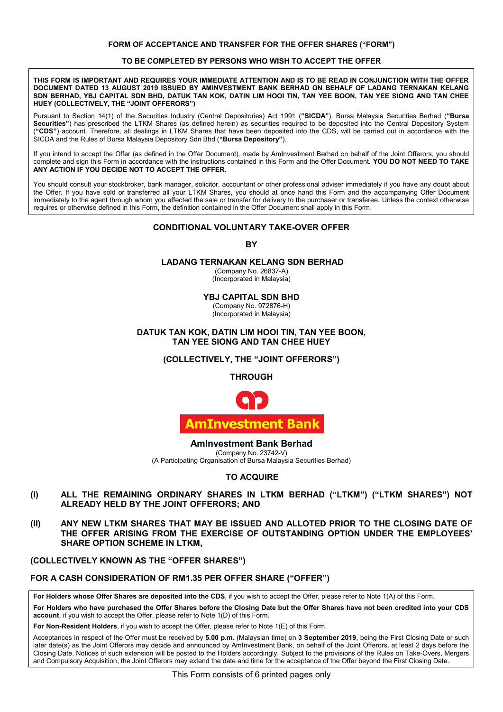#### FORM OF ACCEPTANCE AND TRANSFER FOR THE OFFER SHARES ("FORM") **FORM OF ACCEPTANCE AND TRANSFER FOR THE OFFER SHARES ("FORM")**

#### **TO BE COMPLETED BY PERSONS WHO WISH TO ACCEPT THE OFFER TO BE COMPLETED BY PERSONS WHO WISH TO ACCEPT THE OFFER TO BE COMPLETED BY PERSONS WHO WISH TO ACCEPT THE OFFER TO BE COMPLETED BY PERSONS WHO WISH TO ACCEPT THE OFFER TO BE COMPLETED BY PERSONS WHO WISH TO ACCEPT THE OFFER**

DOCUMENT DATED 13 AUGUST 2019 ISSUED BY AMINVESTMENT BANK BERHAD ON BEHALF OF LADANG TERNAKAN KELANG DO BERHAD. YBJ CAPITAL SDN BHD. DATUK TAN KOK. DATIN LIM HOOI TIN. TAN YEE BOON. TAN YEE SIONG AND TAN CHEE IUEY (COLLECTIVELY, THE "JOINT OFFERORS") **A COMPUTATION CONTACT AND TAN INTERFERIT** THIS FORM IS IMPORTANT AND REQUIRES YOUR IMMEDIATE ATTENTION AND IS TO BE READ IN CONJUNCTION WITH THE OFFER **SDN BERHAD, YBJ CAPITAL SDN BHD, DATUK TAN KOK, DATIN LIM HOOI TIN, TAN YEE BOON, TAN YEE SIONG AND TAN CHEE**  DN BERHAD, YBJ CAPITAL SDN BHD, DATUK TAN KOK, DATIN LIM HOOI TIN, TAN YEE BOON, TAN YEE SIONG AND TAN CHEE<br>IUEY (COLLECTIVELY, THE "JOINT OFFERORS") **HUEY (COLLECTIVELY, THE "JOINT OFFERORS") SDN BERHAD, YBJ CAPITAL SDN BHD, DATUK TAN KOK, DATIN LIM HOOI TIN, TAN YEE BOON, TAN YEE SIONG AND TAN CHEE HUEY (COLLECTIVELY, THE "JOINT OFFERORS") DOCUMENT DATED 13 AUGUST 2019 ISSUED BY AMINVESTMENT BANK BERHAD ON BEHALF OF LADANG TERNAKAN KELANG SDN BERHAD, YBJ CAPITAL SDN BHD, DATUK TAN KOK, DATIN LIM HOOI TIN, TAN YEE BOON, TAN YEE SIONG AND TAN CHEE HUEY (COLLECTIVELY, THE "JOINT OFFERORS")**

Pursuant to Section 14(1) of the Securities Industry (Central Depositories) Act 1991 ("SICDA"), Bursa Malaysia Securities Berhad ("Bursa Securities") has prescribed the LTKM Shares (as defined herein) as securities required to be deposited into the Central Depository System Get the S Thas prescribed the ETNM Shares (as defined neterity as securities required to be deposited into the Central Depository Oystem<br>("CDS") account. Therefore, all dealings in LTKM Shares that have been deposited into SICDA and the Rules of Bursa Malaysia Depository Sdn Bhd ("Bursa Depository"). SICDA and the Rules of Bursa Malaysia Depository Sdn Bhd (**"Bursa Depository"**). (**"CDS"**) account. Therefore, all dealings in LTKM Shares that have been deposited into the CDS, will be carried out in accordance with the

complete and sign this Form in accordance with the instructions contained in this Form and the Offer Document. YOU DO NOT NEED TO TAKE ANY ACTION IF YOU DECIDE NOT TO ACCEPT THE OFFER. If you intend to accept the Offer (as defined in the Offer Document), made by AmInvestment Berhad on behalf of the Joint Offerors, you should complete and sign this Form in accordance with the instructions contained in this Form and the Offer Document. **YOU DO NOT NEED TO TAKE** 

the Offer. If you have sold or transferred all your LTKM Shares, you should at once hand this Form and the accompanying Offer Document immediately to the agent through whom you effected the sale or transfer for delivery to the purchaser or transferee. Unless the context otherwise equires or otherwise defined in this Form, the definition contained in the Offer Document shall apply in this Form. requires or otherwise defined in this Form, the definition contained in the Offer Document shall apply in this Form. You should consult your stockbroker, bank manager, solicitor, accountant or other professional adviser immediately if you have any doubt about requires or otherwise defined in this Form, the definition contained in the Offer Document shall apply in this Form. requires or otherwise defined in this Form, the definition contained in the Offer Document shall apply in this Form.

## **CONDITIONAL VOLUNTARY TAKE-OVER OFFER CONDITIONAL VOLUNTARY TAKE-OVER OFFER CONDITIONAL VOLUNTARY TAKE-OVER OFFER CONDITIONAL VOLUNTARY TAKE-OVER OFFER CONDITIONAL VOLUNTARY TAKE-OVER OFFER**

# **BY BY BY BY**

# **LADANG TERNAKAN KELANG SDN BERHAD LADANG TERNAKAN KELANG SDN BERHAD LADANG TERNAKAN KELANG SDN BERHAD LADANG TERNAKAN KELANG SDN BERHAD**

**LADANG TERNAKAN KELANG SDN BERHAD** (Company No. 26837-A) (Company No. 26837-A) (Company No. 26837-A) (Company No. 26837-A) (Incorporated in Malaysia) (Incorporated in Malaysia) (Incorporated in Malaysia) (Company No. 26837-A)  $\sum_{i=1}^{N}$ (Incorporated in Malaysia)

**YBJ CAPITAL SDN BHD YBJ CAPITAL SDN BHD YBJ CAPITAL SDN BHD YBJ CAPITAL SDN BHD**

**YBJ CAPITAL SDN BHD** (Company No. 972876-H) (Company No. 972876-H) (Company No. 972876-H) (Company No. 972876-H) (Incorporated in Malaysia) (Incorporated in Malaysia) (Incorporated in Malaysia) (Company No. 972876-H)  $\sum_{i=1}^{N}$ (Incorporated in Malaysia)

## **DATUK TAN KOK, DATIN LIM HOOI TIN, TAN YEE BOON, TAN YEE SIONG AND TAN CHEE HUEY TAN YEE SIONG AND TAN CHEE HUEY TAN YEE SIONG AND TAN CHEE HUEY TAN YEE SIONG AND TAN CHEE HUEY TAN YEE SIONG AND TAN CHEE HUEY** DATUK TAN KOK, DATIN LIM HOOI TIN, TAN YEE BOON,

## **(COLLECTIVELY, THE "JOINT OFFERORS") (COLLECTIVELY, THE "JOINT OFFERORS") (COLLECTIVELY, THE "JOINT OFFERORS") (COLLECTIVELY, THE "JOINT OFFERORS") (COLLECTIVELY, THE "JOINT OFFERORS")**

**THROUGH THROUGH THROUGH THROUGH**



#### **AmInvestment Bank Berhad** (Company No. 23742-V) **AmInvestment Bank Berhad AmInvestment Bank Berhad AmInvestment Bank Berhad**

AITHITVESTITETTI DATIN DETTIAU<br>(Company No. 23742-V) (Company No. 23742-V)<br>(A Participating Organisation of Bursa Malaysia Securities Berhad)

## **TO ACQUIRE TO ACQUIRE TO ACQUIRE TO ACQUIRE TO ACQUIRE**

- **(I) ALL THE REMAINING ORDINARY SHARES IN LTKM BERHAD ("LTKM") ("LTKM SHARES") NOT ALREADY HELD BY THE JOINT OFFERORS; AND ALREADY HELD BY THE JOINT OFFERORS; AND ALREADY HELD BY THE JOINT OFFERORS; AND ALREADY HELD BY THE JOINT OFFERORS; AND** ALL THE REMAINING ORDINARY SHARES IN (I) ALL THE REMAINING ORDINARY SHARES IN LTKM BERHAD ("LTKM") ("LTKM SHARES") NOT
- **(II) ANY NEW LTKM SHARES THAT MAY BE ISSUED AND ALLOTED PRIOR TO THE CLOSING DATE OF THE OFFER ARISING FROM THE EXERCISE OF OUTSTANDING OPTION UNDER THE EMPLOYEES' SHARE OPTION SCHEME IN LTKM, SHARE OPTION SCHEME IN LTKM, SHARE OPTION SCHEME IN LTKM, SHARE OPTION SCHEME IN LTKM, SHARE OPTION SCHEME IN LTKM, THE OFFER ARISING FROM THE EXERCISE OF OUTSTANDING OPTION UNDER THE EMPLOYEES'** (II) ANY NEW LTKM SHARES THAT MAY BE ISSUED AND ALLOTED PRIOR TO THE CLOSING DATE OF THE OFFER ARISING FROM THE EXERCISE OF OUTSTANDING OPTION UNDER THE EMPLOYEES'

## **(COLLECTIVELY KNOWN AS THE "OFFER SHARES") (COLLECTIVELY KNOWN AS THE "OFFER SHARES") (COLLECTIVELY KNOWN AS THE "OFFER SHARES") (COLLECTIVELY KNOWN AS THE "OFFER SHARES") (COLLECTIVELY KNOWN AS THE "OFFER SHARES")**

## **FOR A CASH CONSIDERATION OF RM1.35 PER OFFER SHARE ("OFFER")** FOR A CASH CONSIDERATION OF RM1.35 PER OFFER SHARE ("OFFER")

**For Holders whose Offer Shares are deposited into the CDS**, if you wish to accept the Offer, please refer to Note 1(A) of this Form. For Holders whose Offer Shares are deposited into the CDS, if you wish to accept the Offer, please refer to Note 1(A) of this Form.

**For Holders who have purchased the Offer Shares before the Closing Date but the Offer Shares have not been credited into your CDS**  account, if you wish to accept the Offer, please refer to Note 1(D) of this Form. **For Holders who have purchased the Offer Shares before the Closing Date but the Offer Shares have not been credited into your CDS**  For Holders who have purchased the Offer Shares before the Closing Date but the Offer Shares have not been credited into your CDS

**For Non-Resident Holders**, if you wish to accept the Offer, please refer to Note 1(E) of this Form. For Non-Resident Holders, if you wish to accept the Offer, please refer to Note 1(E) of this Form.

Acceptances in respect of the Offer must be received by **5.00 p.m.** (Malaysian time) on **3 September 2019**, being the First Closing Date or such later date(s) as the Joint Offerors may decide and announced by AmInvestment Bank, on behalf of the Joint Offerors, at least 2 days before the Closing Date. Notices of such extension will be posted to the Holders accordingly. Subject to the provisions of the Rules on Take-Overs, Mergers and Compulsory Acquisition, the Joint Offerors may extend the date and time for the acceptance of the Offer beyond the First Closing Date. Acceptances in respect of the Offer must be received by **5.00 p.m.** (Malaysian time) on **3 September 2019**, being the First Closing Date or such Acceptances in respect of the Offer must be received by 5.00 p.m. (Malaysian time) on 3 September 2019, being the First Closing Date or such later date(s) as the Joint Offerors may decide and announced by Aminvestment Bank, on behalf of the Joint Offerors, at least 2 days before the Closing Date. Notices of such extension will be posted to the Holders accordingly. Subject to the provisions of the Rules on Take-Overs, Mergers and Compulsory Acquisition, the Joint Offerors may extend the date and time for the acceptance of the Offer beyond the First Closing Date.

This Form consists of 6 printed pages only This Form consists of 6 printed pages only This Form consists of 6 printed pages only This Form consists of 6 printed pages only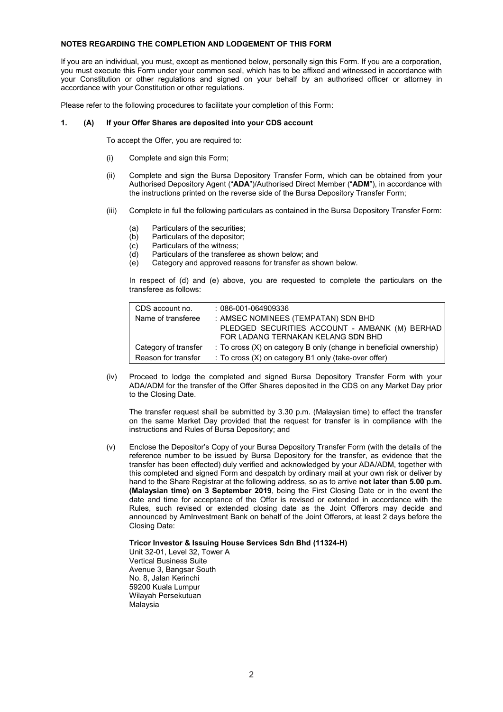## **NOTES REGARDING THE COMPLETION AND LODGEMENT OF THIS FORM**

If you are an individual, you must, except as mentioned below, personally sign this Form. If you are a corporation, you must execute this Form under your common seal, which has to be affixed and witnessed in accordance with your Constitution or other regulations and signed on your behalf by an authorised officer or attorney in accordance with your Constitution or other regulations.

Please refer to the following procedures to facilitate your completion of this Form:

## **1. (A) If your Offer Shares are deposited into your CDS account**

To accept the Offer, you are required to:

- (i) Complete and sign this Form;
- (ii) Complete and sign the Bursa Depository Transfer Form, which can be obtained from your Authorised Depository Agent ("**ADA**")/Authorised Direct Member ("**ADM**"), in accordance with the instructions printed on the reverse side of the Bursa Depository Transfer Form;
- (iii) Complete in full the following particulars as contained in the Bursa Depository Transfer Form:
	- (a) Particulars of the securities;
	- (b) Particulars of the depositor;
	- (c) Particulars of the witness;<br>(d) Particulars of the transfere
	- $\begin{array}{ll}\n\text{(d)} & \text{Particulars of the transferee as shown below; and} \\
	\text{(e)} & \text{Category and approved reasons for transfer as sh}\n\end{array}$
	- Category and approved reasons for transfer as shown below.

In respect of (d) and (e) above, you are requested to complete the particulars on the transferee as follows:

| CDS account no.      | $: 086 - 001 - 064909336$                                                     |
|----------------------|-------------------------------------------------------------------------------|
| Name of transferee   | : AMSEC NOMINEES (TEMPATAN) SDN BHD                                           |
|                      | PLEDGED SECURITIES ACCOUNT - AMBANK (M) BERHAD                                |
|                      | FOR LADANG TERNAKAN KELANG SDN BHD                                            |
| Category of transfer | $\therefore$ To cross (X) on category B only (change in beneficial ownership) |
| Reason for transfer  | : To cross $(X)$ on category B1 only (take-over offer)                        |
|                      |                                                                               |

(iv) Proceed to lodge the completed and signed Bursa Depository Transfer Form with your ADA/ADM for the transfer of the Offer Shares deposited in the CDS on any Market Day prior to the Closing Date.

The transfer request shall be submitted by 3.30 p.m. (Malaysian time) to effect the transfer on the same Market Day provided that the request for transfer is in compliance with the instructions and Rules of Bursa Depository; and

(v) Enclose the Depositor's Copy of your Bursa Depository Transfer Form (with the details of the reference number to be issued by Bursa Depository for the transfer, as evidence that the transfer has been effected) duly verified and acknowledged by your ADA/ADM, together with this completed and signed Form and despatch by ordinary mail at your own risk or deliver by hand to the Share Registrar at the following address, so as to arrive **not later than 5.00 p.m. (Malaysian time) on 3 September 2019**, being the First Closing Date or in the event the date and time for acceptance of the Offer is revised or extended in accordance with the Rules, such revised or extended closing date as the Joint Offerors may decide and announced by AmInvestment Bank on behalf of the Joint Offerors, at least 2 days before the Closing Date:

## **Tricor Investor & Issuing House Services Sdn Bhd (11324-H)**

Unit 32-01, Level 32, Tower A Vertical Business Suite Avenue 3, Bangsar South No. 8, Jalan Kerinchi 59200 Kuala Lumpur Wilayah Persekutuan Malaysia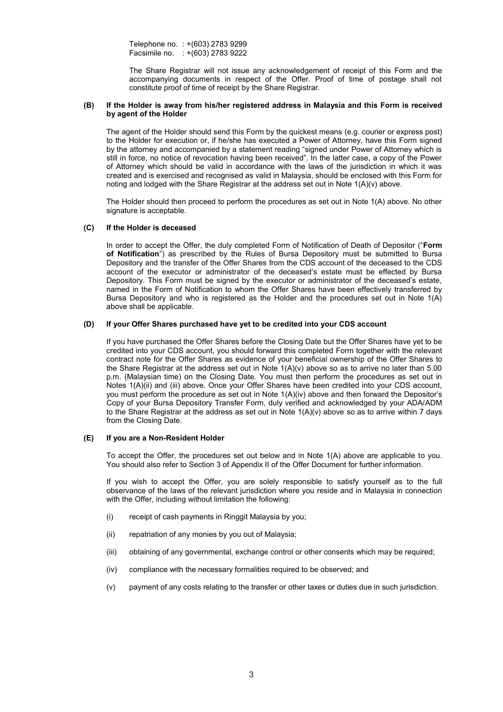Telephone no. : +(603) 2783 9299 Facsimile no. : +(603) 2783 9222

The Share Registrar will not issue any acknowledgement of receipt of this Form and the accompanying documents in respect of the Offer. Proof of time of postage shall not constitute proof of time of receipt by the Share Registrar.

## **(B) If the Holder is away from his/her registered address in Malaysia and this Form is received by agent of the Holder**

The agent of the Holder should send this Form by the quickest means (e.g. courier or express post) to the Holder for execution or, if he/she has executed a Power of Attorney, have this Form signed by the attorney and accompanied by a statement reading "signed under Power of Attorney which is still in force, no notice of revocation having been received". In the latter case, a copy of the Power of Attorney which should be valid in accordance with the laws of the jurisdiction in which it was created and is exercised and recognised as valid in Malaysia, should be enclosed with this Form for noting and lodged with the Share Registrar at the address set out in Note 1(A)(v) above.

The Holder should then proceed to perform the procedures as set out in Note 1(A) above. No other signature is acceptable.

## **(C) If the Holder is deceased**

In order to accept the Offer, the duly completed Form of Notification of Death of Depositor ("**Form of Notification**") as prescribed by the Rules of Bursa Depository must be submitted to Bursa Depository and the transfer of the Offer Shares from the CDS account of the deceased to the CDS account of the executor or administrator of the deceased's estate must be effected by Bursa Depository. This Form must be signed by the executor or administrator of the deceased's estate, named in the Form of Notification to whom the Offer Shares have been effectively transferred by Bursa Depository and who is registered as the Holder and the procedures set out in Note 1(A) above shall be applicable.

## **(D) If your Offer Shares purchased have yet to be credited into your CDS account**

If you have purchased the Offer Shares before the Closing Date but the Offer Shares have yet to be credited into your CDS account, you should forward this completed Form together with the relevant contract note for the Offer Shares as evidence of your beneficial ownership of the Offer Shares to the Share Registrar at the address set out in Note 1(A)(v) above so as to arrive no later than 5.00 p.m. (Malaysian time) on the Closing Date. You must then perform the procedures as set out in Notes 1(A)(ii) and (iii) above. Once your Offer Shares have been credited into your CDS account, you must perform the procedure as set out in Note 1(A)(iv) above and then forward the Depositor's Copy of your Bursa Depository Transfer Form, duly verified and acknowledged by your ADA/ADM to the Share Registrar at the address as set out in Note 1(A)(v) above so as to arrive within 7 days from the Closing Date.

## **(E) If you are a Non-Resident Holder**

To accept the Offer, the procedures set out below and in Note 1(A) above are applicable to you. You should also refer to Section 3 of Appendix II of the Offer Document for further information.

If you wish to accept the Offer, you are solely responsible to satisfy yourself as to the full observance of the laws of the relevant jurisdiction where you reside and in Malaysia in connection with the Offer, including without limitation the following:

- (i) receipt of cash payments in Ringgit Malaysia by you;
- (ii) repatriation of any monies by you out of Malaysia;
- (iii) obtaining of any governmental, exchange control or other consents which may be required;
- (iv) compliance with the necessary formalities required to be observed; and
- (v) payment of any costs relating to the transfer or other taxes or duties due in such jurisdiction.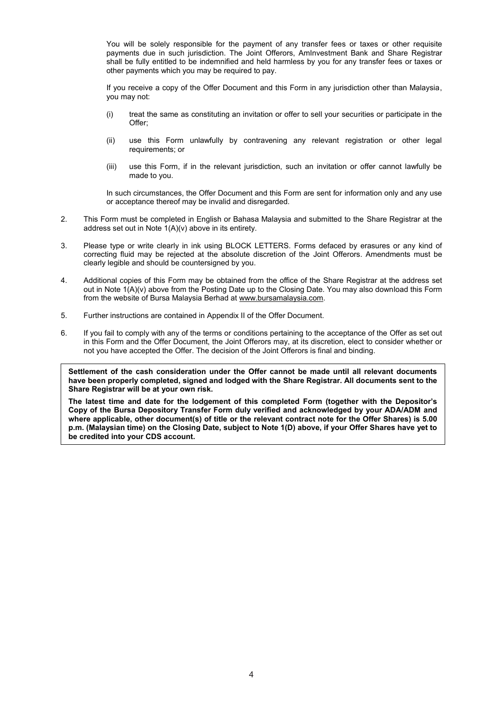You will be solely responsible for the payment of any transfer fees or taxes or other requisite payments due in such jurisdiction. The Joint Offerors, AmInvestment Bank and Share Registrar shall be fully entitled to be indemnified and held harmless by you for any transfer fees or taxes or other payments which you may be required to pay.

If you receive a copy of the Offer Document and this Form in any jurisdiction other than Malaysia, you may not:

- (i) treat the same as constituting an invitation or offer to sell your securities or participate in the Offer;
- (ii) use this Form unlawfully by contravening any relevant registration or other legal requirements; or
- (iii) use this Form, if in the relevant jurisdiction, such an invitation or offer cannot lawfully be made to you.

In such circumstances, the Offer Document and this Form are sent for information only and any use or acceptance thereof may be invalid and disregarded.

- 2. This Form must be completed in English or Bahasa Malaysia and submitted to the Share Registrar at the address set out in Note 1(A)(v) above in its entirety.
- 3. Please type or write clearly in ink using BLOCK LETTERS. Forms defaced by erasures or any kind of correcting fluid may be rejected at the absolute discretion of the Joint Offerors. Amendments must be clearly legible and should be countersigned by you.
- 4. Additional copies of this Form may be obtained from the office of the Share Registrar at the address set out in Note 1(A)(v) above from the Posting Date up to the Closing Date. You may also download this Form from the website of Bursa Malaysia Berhad at www.bursamalaysia.com.
- 5. Further instructions are contained in Appendix II of the Offer Document.
- 6. If you fail to comply with any of the terms or conditions pertaining to the acceptance of the Offer as set out in this Form and the Offer Document, the Joint Offerors may, at its discretion, elect to consider whether or not you have accepted the Offer. The decision of the Joint Offerors is final and binding.

**Settlement of the cash consideration under the Offer cannot be made until all relevant documents have been properly completed, signed and lodged with the Share Registrar. All documents sent to the Share Registrar will be at your own risk.**

**The latest time and date for the lodgement of this completed Form (together with the Depositor's Copy of the Bursa Depository Transfer Form duly verified and acknowledged by your ADA/ADM and where applicable, other document(s) of title or the relevant contract note for the Offer Shares) is 5.00 p.m. (Malaysian time) on the Closing Date, subject to Note 1(D) above, if your Offer Shares have yet to be credited into your CDS account.**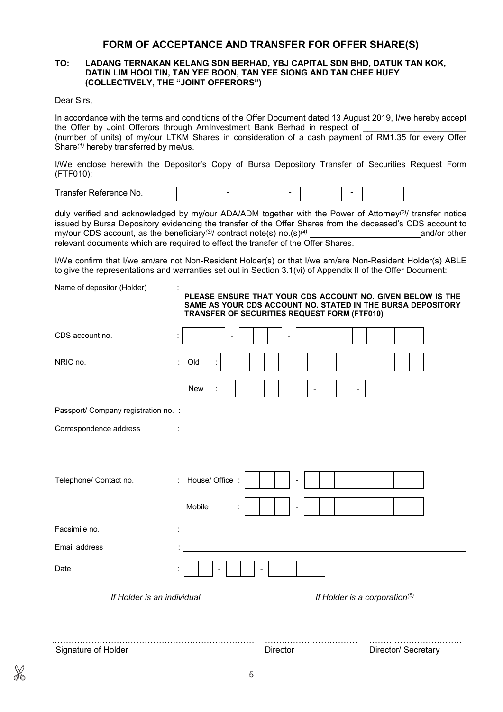## **FORM OF ACCEPTANCE AND TRANSFER FOR OFFER SHARE(S)**

## **TO: LADANG TERNAKAN KELANG SDN BERHAD, YBJ CAPITAL SDN BHD, DATUK TAN KOK, DATIN LIM HOOI TIN, TAN YEE BOON, TAN YEE SIONG AND TAN CHEE HUEY (COLLECTIVELY, THE "JOINT OFFERORS")**

Dear Sirs,

In accordance with the terms and conditions of the Offer Document dated 13 August 2019, I/we hereby accept the Offer by Joint Offerors through AmInvestment Bank Berhad in respect of (number of units) of my/our LTKM Shares in consideration of a cash payment of RM1.35 for every Offer Share*(1)* hereby transferred by me/us.

I/We enclose herewith the Depositor's Copy of Bursa Depository Transfer of Securities Request Form (FTF010):

| $\overline{\phantom{0}}$<br>Fransfar<br>.<br>۰No.<br>. |  |  |  |  |  |  |  |  |  |  |  |  |  |  |
|--------------------------------------------------------|--|--|--|--|--|--|--|--|--|--|--|--|--|--|
|--------------------------------------------------------|--|--|--|--|--|--|--|--|--|--|--|--|--|--|

duly verified and acknowledged by my/our ADA/ADM together with the Power of Attorney*(2)* / transfer notice issued by Bursa Depository evidencing the transfer of the Offer Shares from the deceased's CDS account to my/our CDS account, as the beneficiary<sup>(3)</sup>/ contract note(s) no.(s)<sup>(4)</sup> and/or other my/our CDS account, as the beneficiary*(3)* / contract note(s) no.(s)*(4)* \_\_\_\_\_\_\_\_\_\_\_\_\_\_\_\_\_\_\_\_\_\_\_ and/or other relevant documents which are required to effect the transfer of the Offer Shares.

I/We confirm that I/we am/are not Non-Resident Holder(s) or that I/we am/are Non-Resident Holder(s) ABLE to give the representations and warranties set out in Section 3.1(vi) of Appendix II of the Offer Document:

Name of depositor (Holder) :

|                            | PLEASE ENSURE THAT YOUR CDS ACCOUNT NO. GIVEN BELOW IS THE<br>SAME AS YOUR CDS ACCOUNT NO. STATED IN THE BURSA DEPOSITORY<br>TRANSFER OF SECURITIES REQUEST FORM (FTF010) |                     |
|----------------------------|---------------------------------------------------------------------------------------------------------------------------------------------------------------------------|---------------------|
| CDS account no.            |                                                                                                                                                                           |                     |
| NRIC no.                   | Old                                                                                                                                                                       |                     |
|                            | New<br>$\overline{\phantom{a}}$                                                                                                                                           |                     |
|                            |                                                                                                                                                                           |                     |
| Correspondence address     |                                                                                                                                                                           |                     |
| Telephone/ Contact no.     | : House/ Office :<br>Mobile                                                                                                                                               |                     |
| Facsimile no.              |                                                                                                                                                                           |                     |
| Email address              |                                                                                                                                                                           |                     |
| Date                       | $\blacksquare$                                                                                                                                                            |                     |
| If Holder is an individual | If Holder is a corporation $(5)$                                                                                                                                          |                     |
| Signature of Holder        | Director                                                                                                                                                                  | Director/ Secretary |